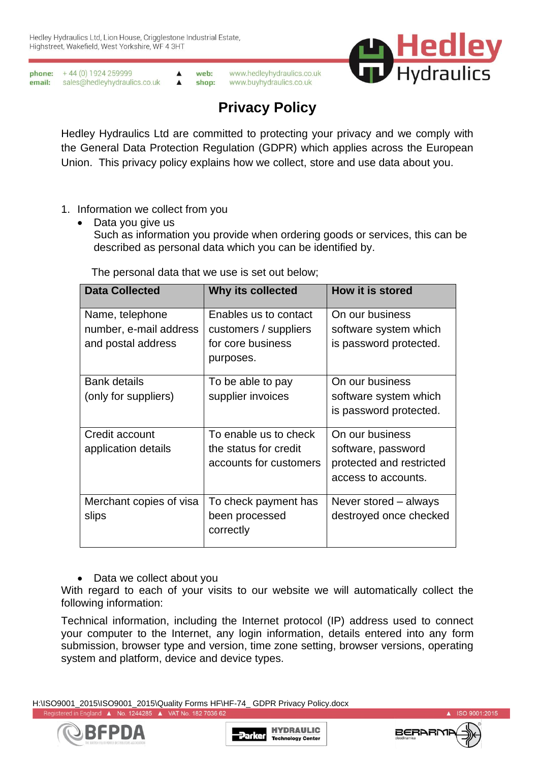

**phone:**  $+44(0)1924259999$ web: www.hedleyhydraulics.co.uk  $\blacktriangle$  $\blacktriangle$ email: sales@hedleyhydraulics.co.uk shop: www.buyhydraulics.co.uk

# **Privacy Policy**

Hedley Hydraulics Ltd are committed to protecting your privacy and we comply with the General Data Protection Regulation (GDPR) which applies across the European Union. This privacy policy explains how we collect, store and use data about you.

- 1. Information we collect from you
	- Data you give us Such as information you provide when ordering goods or services, this can be described as personal data which you can be identified by.

The personal data that we use is set out below;

| <b>Data Collected</b>   | Why its collected      | <b>How it is stored</b>  |
|-------------------------|------------------------|--------------------------|
| Name, telephone         | Enables us to contact  | On our business          |
| number, e-mail address  | customers / suppliers  | software system which    |
| and postal address      | for core business      | is password protected.   |
|                         | purposes.              |                          |
| <b>Bank details</b>     | To be able to pay      | On our business          |
| (only for suppliers)    | supplier invoices      | software system which    |
|                         |                        | is password protected.   |
| Credit account          | To enable us to check  | On our business          |
| application details     | the status for credit  | software, password       |
|                         | accounts for customers | protected and restricted |
|                         |                        | access to accounts.      |
| Merchant copies of visa | To check payment has   | Never stored – always    |
| slips                   | been processed         | destroyed once checked   |
|                         | correctly              |                          |

• Data we collect about you

With regard to each of your visits to our website we will automatically collect the following information:

Technical information, including the Internet protocol (IP) address used to connect your computer to the Internet, any login information, details entered into any form submission, browser type and version, time zone setting, browser versions, operating system and platform, device and device types.

H:\ISO9001\_2015\ISO9001\_2015\Quality Forms HF\HF-74\_ GDPR Privacy Policy.docx Registered in England A No. 1244285 A VAT No. 182 7036 62





ISO 9001:2015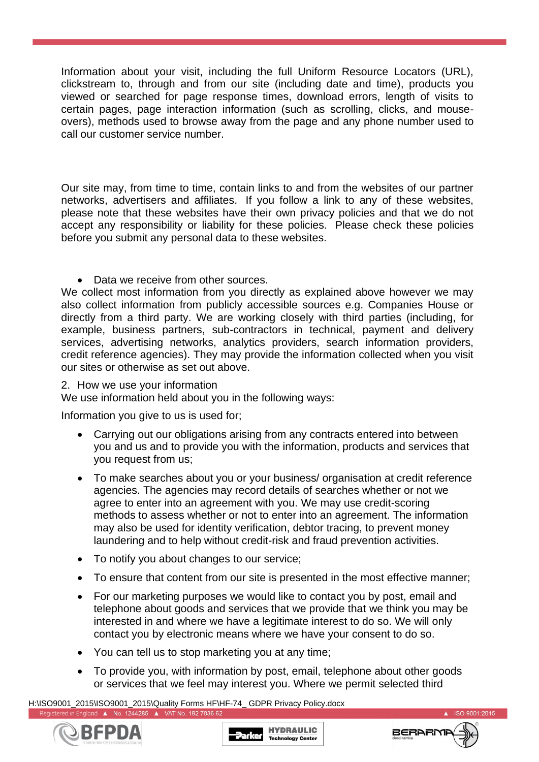Information about your visit, including the full Uniform Resource Locators (URL), clickstream to, through and from our site (including date and time), products you viewed or searched for page response times, download errors, length of visits to certain pages, page interaction information (such as scrolling, clicks, and mouseovers), methods used to browse away from the page and any phone number used to call our customer service number.

Our site may, from time to time, contain links to and from the websites of our partner networks, advertisers and affiliates. If you follow a link to any of these websites, please note that these websites have their own privacy policies and that we do not accept any responsibility or liability for these policies. Please check these policies before you submit any personal data to these websites.

## • Data we receive from other sources.

We collect most information from you directly as explained above however we may also collect information from publicly accessible sources e.g. Companies House or directly from a third party. We are working closely with third parties (including, for example, business partners, sub-contractors in technical, payment and delivery services, advertising networks, analytics providers, search information providers, credit reference agencies). They may provide the information collected when you visit our sites or otherwise as set out above.

#### 2. How we use your information

We use information held about you in the following ways:

Information you give to us is used for;

- Carrying out our obligations arising from any contracts entered into between you and us and to provide you with the information, products and services that you request from us;
- To make searches about you or your business/ organisation at credit reference agencies. The agencies may record details of searches whether or not we agree to enter into an agreement with you. We may use credit-scoring methods to assess whether or not to enter into an agreement. The information may also be used for identity verification, debtor tracing, to prevent money laundering and to help without credit-risk and fraud prevention activities.
- To notify you about changes to our service;
- To ensure that content from our site is presented in the most effective manner;
- For our marketing purposes we would like to contact you by post, email and telephone about goods and services that we provide that we think you may be interested in and where we have a legitimate interest to do so. We will only contact you by electronic means where we have your consent to do so.
- You can tell us to stop marketing you at any time;
- To provide you, with information by post, email, telephone about other goods or services that we feel may interest you. Where we permit selected third

H:\ISO9001\_2015\ISO9001\_2015\Quality Forms HF\HF-74\_ GDPR Privacy Policy.docx Registered in England ▲ No. 1244285 ▲ VAT No. 182 7036 62





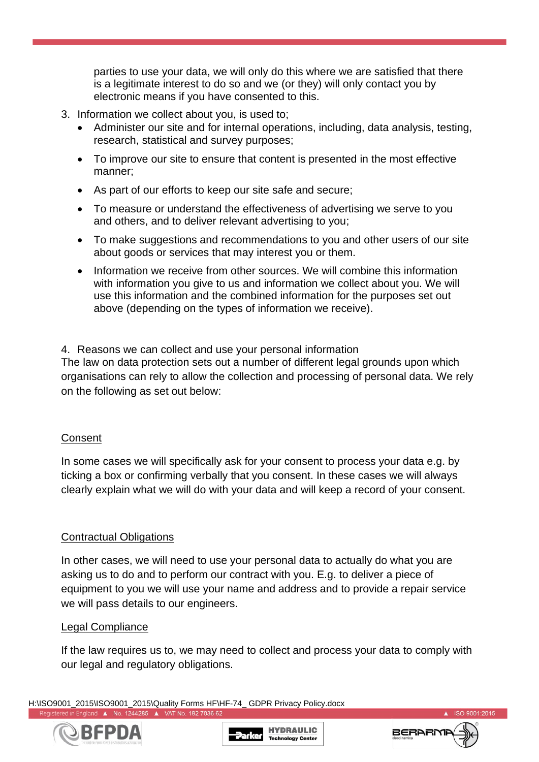parties to use your data, we will only do this where we are satisfied that there is a legitimate interest to do so and we (or they) will only contact you by electronic means if you have consented to this.

- 3. Information we collect about you, is used to;
	- Administer our site and for internal operations, including, data analysis, testing, research, statistical and survey purposes;
	- To improve our site to ensure that content is presented in the most effective manner;
	- As part of our efforts to keep our site safe and secure;
	- To measure or understand the effectiveness of advertising we serve to you and others, and to deliver relevant advertising to you;
	- To make suggestions and recommendations to you and other users of our site about goods or services that may interest you or them.
	- Information we receive from other sources. We will combine this information with information you give to us and information we collect about you. We will use this information and the combined information for the purposes set out above (depending on the types of information we receive).

4. Reasons we can collect and use your personal information

The law on data protection sets out a number of different legal grounds upon which organisations can rely to allow the collection and processing of personal data. We rely on the following as set out below:

#### Consent

In some cases we will specifically ask for your consent to process your data e.g. by ticking a box or confirming verbally that you consent. In these cases we will always clearly explain what we will do with your data and will keep a record of your consent.

## Contractual Obligations

In other cases, we will need to use your personal data to actually do what you are asking us to do and to perform our contract with you. E.g. to deliver a piece of equipment to you we will use your name and address and to provide a repair service we will pass details to our engineers.

#### Legal Compliance

If the law requires us to, we may need to collect and process your data to comply with our legal and regulatory obligations.

H:\ISO9001\_2015\ISO9001\_2015\Quality Forms HF\HF-74\_ GDPR Privacy Policy.docx Registered in England A No. 1244285 A VAT No. 182 7036 62





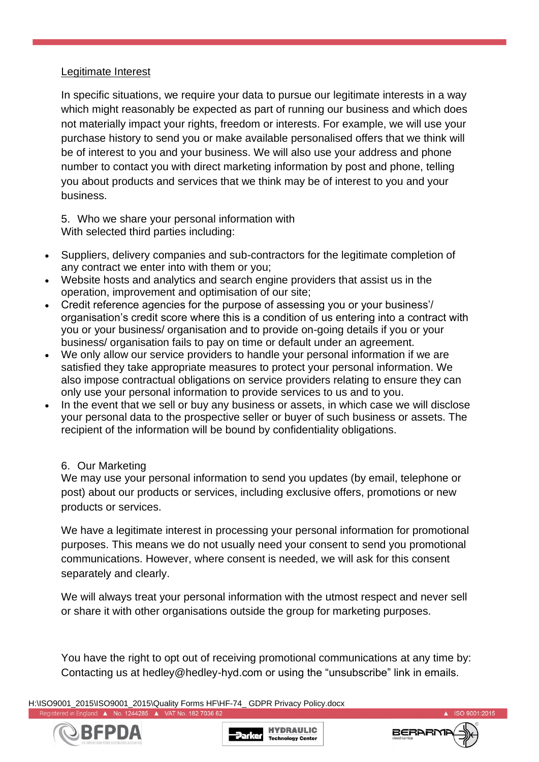#### Legitimate Interest

In specific situations, we require your data to pursue our legitimate interests in a way which might reasonably be expected as part of running our business and which does not materially impact your rights, freedom or interests. For example, we will use your purchase history to send you or make available personalised offers that we think will be of interest to you and your business. We will also use your address and phone number to contact you with direct marketing information by post and phone, telling you about products and services that we think may be of interest to you and your business.

5. Who we share your personal information with With selected third parties including:

- Suppliers, delivery companies and sub-contractors for the legitimate completion of any contract we enter into with them or you;
- Website hosts and analytics and search engine providers that assist us in the operation, improvement and optimisation of our site;
- Credit reference agencies for the purpose of assessing you or your business'/ organisation's credit score where this is a condition of us entering into a contract with you or your business/ organisation and to provide on-going details if you or your business/ organisation fails to pay on time or default under an agreement.
- We only allow our service providers to handle your personal information if we are satisfied they take appropriate measures to protect your personal information. We also impose contractual obligations on service providers relating to ensure they can only use your personal information to provide services to us and to you.
- In the event that we sell or buy any business or assets, in which case we will disclose your personal data to the prospective seller or buyer of such business or assets. The recipient of the information will be bound by confidentiality obligations.

#### 6. Our Marketing

We may use your personal information to send you updates (by email, telephone or post) about our products or services, including exclusive offers, promotions or new products or services.

We have a legitimate interest in processing your personal information for promotional purposes. This means we do not usually need your consent to send you promotional communications. However, where consent is needed, we will ask for this consent separately and clearly.

We will always treat your personal information with the utmost respect and never sell or share it with other organisations outside the group for marketing purposes.

You have the right to opt out of receiving promotional communications at any time by: Contacting us at hedley@hedley-hyd.com or using the "unsubscribe" link in emails.

H:\ISO9001\_2015\ISO9001\_2015\Quality Forms HF\HF-74\_ GDPR Privacy Policy.docx Registered in England A No. 1244285 A VAT No. 182 7036 62







ISO 9001:2015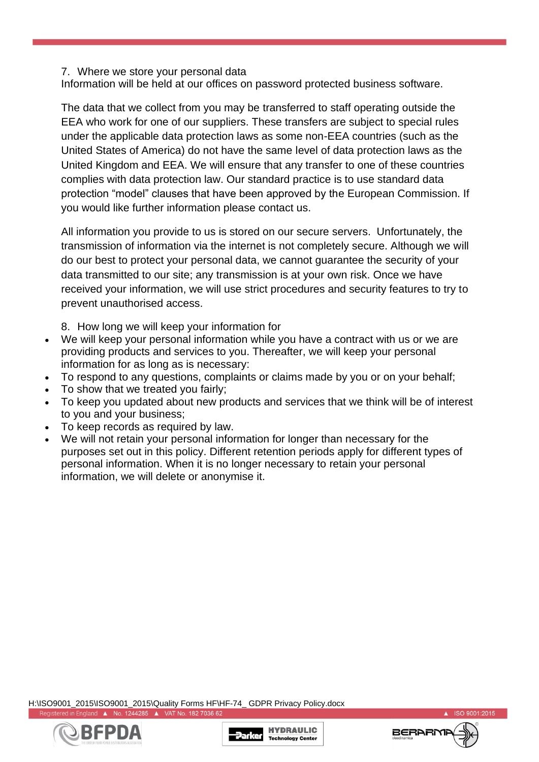#### 7. Where we store your personal data

Information will be held at our offices on password protected business software.

The data that we collect from you may be transferred to staff operating outside the EEA who work for one of our suppliers. These transfers are subject to special rules under the applicable data protection laws as some non-EEA countries (such as the United States of America) do not have the same level of data protection laws as the United Kingdom and EEA. We will ensure that any transfer to one of these countries complies with data protection law. Our standard practice is to use standard data protection "model" clauses that have been approved by the European Commission. If you would like further information please contact us.

All information you provide to us is stored on our secure servers. Unfortunately, the transmission of information via the internet is not completely secure. Although we will do our best to protect your personal data, we cannot guarantee the security of your data transmitted to our site; any transmission is at your own risk. Once we have received your information, we will use strict procedures and security features to try to prevent unauthorised access.

8. How long we will keep your information for

- We will keep your personal information while you have a contract with us or we are providing products and services to you. Thereafter, we will keep your personal information for as long as is necessary:
- To respond to any questions, complaints or claims made by you or on your behalf;
- To show that we treated you fairly;
- To keep you updated about new products and services that we think will be of interest to you and your business;
- To keep records as required by law.
- We will not retain your personal information for longer than necessary for the purposes set out in this policy. Different retention periods apply for different types of personal information. When it is no longer necessary to retain your personal information, we will delete or anonymise it.

H:\ISO9001\_2015\ISO9001\_2015\Quality Forms HF\HF-74\_ GDPR Privacy Policy.docx Registered in England A No. 1244285 A VAT No. 182 7036 62





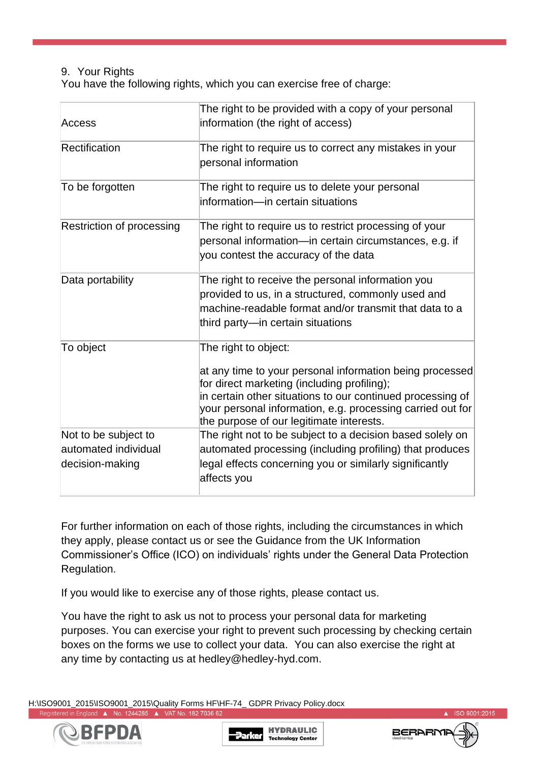## 9. Your Rights

You have the following rights, which you can exercise free of charge:

| Access                                                          | The right to be provided with a copy of your personal<br>information (the right of access)                                                                                                                                                                                                              |
|-----------------------------------------------------------------|---------------------------------------------------------------------------------------------------------------------------------------------------------------------------------------------------------------------------------------------------------------------------------------------------------|
| Rectification                                                   | The right to require us to correct any mistakes in your<br>personal information                                                                                                                                                                                                                         |
| To be forgotten                                                 | The right to require us to delete your personal<br>information-in certain situations                                                                                                                                                                                                                    |
| Restriction of processing                                       | The right to require us to restrict processing of your<br>personal information-in certain circumstances, e.g. if<br>you contest the accuracy of the data                                                                                                                                                |
| Data portability                                                | The right to receive the personal information you<br>provided to us, in a structured, commonly used and<br>machine-readable format and/or transmit that data to a<br>third party—in certain situations                                                                                                  |
| To object                                                       | The right to object:<br>at any time to your personal information being processed<br>for direct marketing (including profiling);<br>in certain other situations to our continued processing of<br>your personal information, e.g. processing carried out for<br>the purpose of our legitimate interests. |
| Not to be subject to<br>automated individual<br>decision-making | The right not to be subject to a decision based solely on<br>automated processing (including profiling) that produces<br>legal effects concerning you or similarly significantly<br>affects you                                                                                                         |

For further information on each of those rights, including the circumstances in which they apply, please contact us or see the Guidance from the UK Information Commissioner's Office (ICO) on individuals' rights under the General Data Protection Regulation.

If you would like to exercise any of those rights, please contact us.

You have the right to ask us not to process your personal data for marketing purposes. You can exercise your right to prevent such processing by checking certain boxes on the forms we use to collect your data. You can also exercise the right at any time by contacting us at hedley@hedley-hyd.com.

H:\ISO9001\_2015\ISO9001\_2015\Quality Forms HF\HF-74\_ GDPR Privacy Policy.docx Registered in England A No. 1244285 A VAT No. 182 7036 62